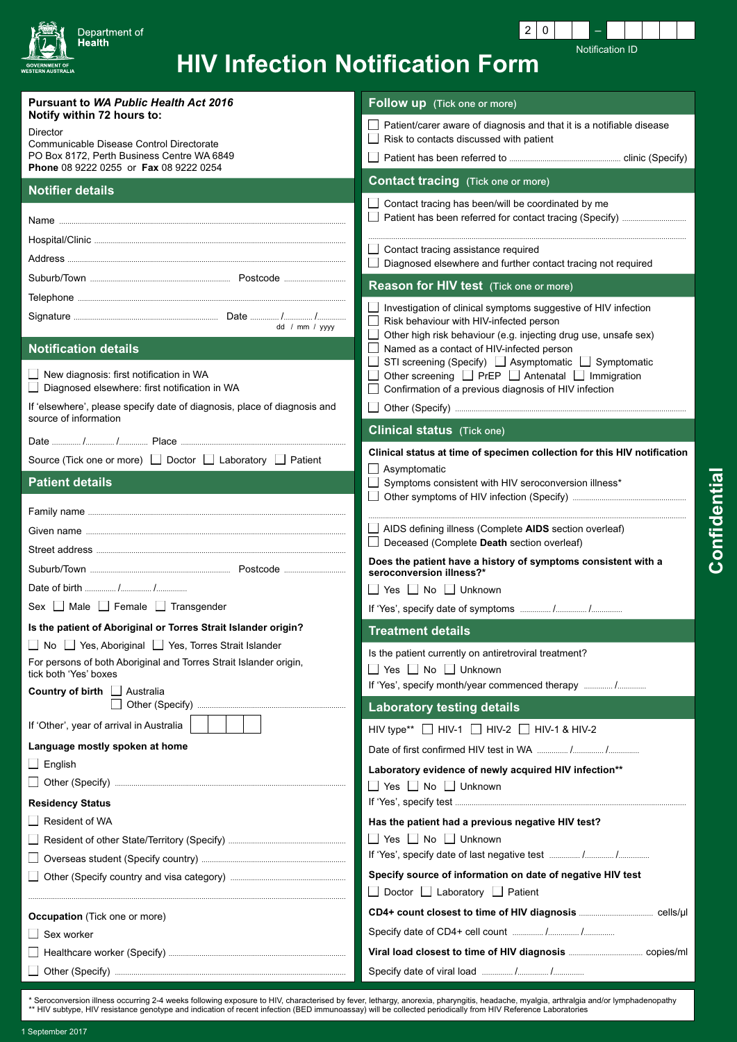

 $\boxed{2}$  0 Notification ID

## **HIV Infection Notification Form**

| <b>Pursuant to WA Public Health Act 2016</b>                                                      | Follow up (Tick one or more)                                                                                |
|---------------------------------------------------------------------------------------------------|-------------------------------------------------------------------------------------------------------------|
| Notify within 72 hours to:<br><b>Director</b>                                                     | Patient/carer aware of diagnosis and that it is a notifiable disease                                        |
| Communicable Disease Control Directorate                                                          | Risk to contacts discussed with patient                                                                     |
| PO Box 8172, Perth Business Centre WA 6849<br>Phone 08 9222 0255 or Fax 08 9222 0254              |                                                                                                             |
| <b>Notifier details</b>                                                                           | <b>Contact tracing</b> (Tick one or more)                                                                   |
|                                                                                                   | Contact tracing has been/will be coordinated by me                                                          |
|                                                                                                   |                                                                                                             |
|                                                                                                   | Contact tracing assistance required                                                                         |
|                                                                                                   | Diagnosed elsewhere and further contact tracing not required                                                |
|                                                                                                   | Reason for HIV test (Tick one or more)                                                                      |
|                                                                                                   | Investigation of clinical symptoms suggestive of HIV infection<br>Risk behaviour with HIV-infected person   |
| dd / mm / yyyy                                                                                    | $\Box$<br>Other high risk behaviour (e.g. injecting drug use, unsafe sex)                                   |
| <b>Notification details</b>                                                                       | Named as a contact of HIV-infected person<br>STI screening (Specify) □ Asymptomatic □ Symptomatic<br>$\Box$ |
| New diagnosis: first notification in WA                                                           | Other screening □ PrEP □ Antenatal □ Immigration                                                            |
| Diagnosed elsewhere: first notification in WA                                                     | Confirmation of a previous diagnosis of HIV infection                                                       |
| If 'elsewhere', please specify date of diagnosis, place of diagnosis and<br>source of information |                                                                                                             |
|                                                                                                   | <b>Clinical status</b> (Tick one)                                                                           |
| Source (Tick one or more) □ Doctor □ Laboratory □ Patient                                         | Clinical status at time of specimen collection for this HIV notification                                    |
| <b>Patient details</b>                                                                            | $\Box$ Asymptomatic<br>Symptoms consistent with HIV seroconversion illness*                                 |
|                                                                                                   |                                                                                                             |
|                                                                                                   |                                                                                                             |
|                                                                                                   | AIDS defining illness (Complete AIDS section overleaf)<br>$\Box$ Deceased (Complete Death section overleaf) |
|                                                                                                   | Does the patient have a history of symptoms consistent with a                                               |
|                                                                                                   | seroconversion illness?*                                                                                    |
| Sex Male Female Transgender                                                                       | $\Box$ Yes $\Box$ No $\Box$ Unknown                                                                         |
| Is the patient of Aboriginal or Torres Strait Islander origin?                                    |                                                                                                             |
| □ No □ Yes, Aboriginal □ Yes, Torres Strait Islander                                              | <b>Treatment details</b>                                                                                    |
| For persons of both Aboriginal and Torres Strait Islander origin,                                 | Is the patient currently on antiretroviral treatment?<br>□ Yes □ No □ Unknown                               |
| tick both 'Yes' boxes                                                                             | If 'Yes', specify month/year commenced therapy  /                                                           |
| Country of birth   Australia                                                                      | <b>Laboratory testing details</b>                                                                           |
| If 'Other', year of arrival in Australia                                                          | HIV type** HIV-1 HIV-2 HIV-1 & HIV-2                                                                        |
| Language mostly spoken at home                                                                    |                                                                                                             |
| $\Box$ English                                                                                    | Laboratory evidence of newly acquired HIV infection**                                                       |
|                                                                                                   | $\Box$ Yes $\Box$ No $\Box$ Unknown                                                                         |
| <b>Residency Status</b>                                                                           |                                                                                                             |
| Resident of WA                                                                                    | Has the patient had a previous negative HIV test?                                                           |
|                                                                                                   | $\Box$ Yes $\Box$ No $\Box$ Unknown                                                                         |
|                                                                                                   | Specify source of information on date of negative HIV test                                                  |
|                                                                                                   | □ Doctor □ Laboratory □ Patient                                                                             |
| <b>Occupation</b> (Tick one or more)                                                              |                                                                                                             |
| Sex worker                                                                                        |                                                                                                             |
|                                                                                                   |                                                                                                             |
|                                                                                                   |                                                                                                             |

\* Seroconversion illness occurring 2-4 weeks following exposure to HIV, characterised by fever, lethargy, anorexia, pharyngitis, headache, myalgia, arthralgia and/or lymphadenopathy<br>\*\* HIV subtype, HIV resistance genotype